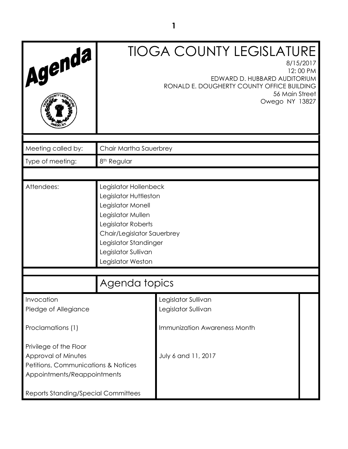| Agenda                                                                                                                                                     |                                                                                                                                                                                                                   | <b>TIOGA COUNTY LEGISLATURE</b><br>8/15/2017<br>12:00 PM<br>EDWARD D. HUBBARD AUDITORIUM<br>RONALD E. DOUGHERTY COUNTY OFFICE BUILDING<br>56 Main Street<br>Owego NY 13827 |  |
|------------------------------------------------------------------------------------------------------------------------------------------------------------|-------------------------------------------------------------------------------------------------------------------------------------------------------------------------------------------------------------------|----------------------------------------------------------------------------------------------------------------------------------------------------------------------------|--|
| Meeting called by:                                                                                                                                         | Chair Martha Sauerbrey                                                                                                                                                                                            |                                                                                                                                                                            |  |
| Type of meeting:                                                                                                                                           | 8 <sup>th</sup> Regular                                                                                                                                                                                           |                                                                                                                                                                            |  |
| Attendees:                                                                                                                                                 | Legislator Hollenbeck<br>Legislator Huttleston<br>Legislator Monell<br>Legislator Mullen<br>Legislator Roberts<br>Chair/Legislator Sauerbrey<br>Legislator Standinger<br>Legislator Sullivan<br>Legislator Weston |                                                                                                                                                                            |  |
| Agenda topics                                                                                                                                              |                                                                                                                                                                                                                   |                                                                                                                                                                            |  |
| Invocation<br>Pledge of Allegiance<br>Proclamations (1)                                                                                                    |                                                                                                                                                                                                                   | Legislator Sullivan<br>Legislator Sullivan<br>Immunization Awareness Month                                                                                                 |  |
| Privilege of the Floor<br>Approval of Minutes<br>Petitions, Communications & Notices<br>Appointments/Reappointments<br>Reports Standing/Special Committees |                                                                                                                                                                                                                   | July 6 and 11, 2017                                                                                                                                                        |  |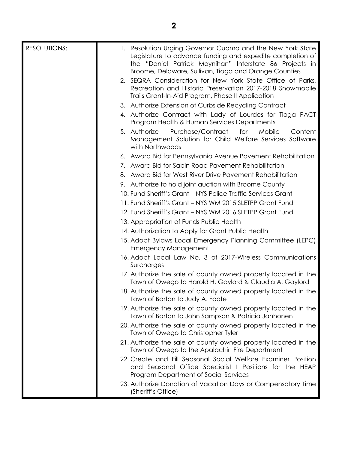| <b>RESOLUTIONS:</b> | 1. Resolution Urging Governor Cuomo and the New York State<br>Legislature to advance funding and expedite completion of<br>the "Daniel Patrick Moynihan" Interstate 86 Projects in<br>Broome, Delaware, Sullivan, Tioga and Orange Counties |
|---------------------|---------------------------------------------------------------------------------------------------------------------------------------------------------------------------------------------------------------------------------------------|
|                     | 2. SEQRA Consideration for New York State Office of Parks,<br>Recreation and Historic Preservation 2017-2018 Snowmobile<br>Trails Grant-In-Aid Program, Phase II Application                                                                |
|                     | 3. Authorize Extension of Curbside Recycling Contract                                                                                                                                                                                       |
|                     | 4. Authorize Contract with Lady of Lourdes for Tioga PACT                                                                                                                                                                                   |
|                     | Program Health & Human Services Departments                                                                                                                                                                                                 |
|                     | Purchase/Contract<br>Mobile<br>5. Authorize<br>for<br>Content<br>Management Solution for Child Welfare Services Software<br>with Northwoods                                                                                                 |
|                     | 6. Award Bid for Pennsylvania Avenue Pavement Rehabilitation                                                                                                                                                                                |
|                     | 7. Award Bid for Sabin Road Pavement Rehabilitation                                                                                                                                                                                         |
|                     | 8. Award Bid for West River Drive Pavement Rehabilitation                                                                                                                                                                                   |
|                     | 9. Authorize to hold joint auction with Broome County                                                                                                                                                                                       |
|                     | 10. Fund Sheriff's Grant - NYS Police Traffic Services Grant                                                                                                                                                                                |
|                     | 11. Fund Sheriff's Grant - NYS WM 2015 SLETPP Grant Fund                                                                                                                                                                                    |
|                     | 12. Fund Sheriff's Grant - NYS WM 2016 SLETPP Grant Fund                                                                                                                                                                                    |
|                     | 13. Appropriation of Funds Public Health                                                                                                                                                                                                    |
|                     | 14. Authorization to Apply for Grant Public Health                                                                                                                                                                                          |
|                     | 15. Adopt Bylaws Local Emergency Planning Committee (LEPC)<br><b>Emergency Management</b>                                                                                                                                                   |
|                     | 16. Adopt Local Law No. 3 of 2017-Wireless Communications<br>Surcharges                                                                                                                                                                     |
|                     | 17. Authorize the sale of county owned property located in the<br>Town of Owego to Harold H. Gaylord & Claudia A. Gaylord                                                                                                                   |
|                     | 18. Authorize the sale of county owned property located in the<br>Town of Barton to Judy A. Foote                                                                                                                                           |
|                     | 19. Authorize the sale of county owned property located in the<br>Town of Barton to John Sampson & Patricia Janhonen                                                                                                                        |
|                     | 20. Authorize the sale of county owned property located in the<br>Town of Owego to Christopher Tyler                                                                                                                                        |
|                     | 21. Authorize the sale of county owned property located in the<br>Town of Owego to the Apalachin Fire Department                                                                                                                            |
|                     | 22. Create and Fill Seasonal Social Welfare Examiner Position<br>and Seasonal Office Specialist I Positions for the HEAP<br>Program Department of Social Services                                                                           |
|                     | 23. Authorize Donation of Vacation Days or Compensatory Time<br>(Sheriff's Office)                                                                                                                                                          |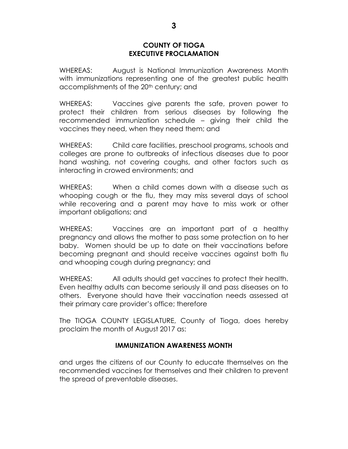#### **COUNTY OF TIOGA EXECUTIVE PROCLAMATION**

WHEREAS: August is National Immunization Awareness Month with immunizations representing one of the greatest public health accomplishments of the 20<sup>th</sup> century; and

WHEREAS: Vaccines give parents the safe, proven power to protect their children from serious diseases by following the recommended immunization schedule – giving their child the vaccines they need, when they need them; and

WHEREAS: Child care facilities, preschool programs, schools and colleges are prone to outbreaks of infectious diseases due to poor hand washing, not covering coughs, and other factors such as interacting in crowed environments; and

WHEREAS: When a child comes down with a disease such as whooping cough or the flu, they may miss several days of school while recovering and a parent may have to miss work or other important obligations; and

WHEREAS: Vaccines are an important part of a healthy pregnancy and allows the mother to pass some protection on to her baby. Women should be up to date on their vaccinations before becoming pregnant and should receive vaccines against both flu and whooping cough during pregnancy; and

WHEREAS: All adults should get vaccines to protect their health. Even healthy adults can become seriously ill and pass diseases on to others. Everyone should have their vaccination needs assessed at their primary care provider's office; therefore

The TIOGA COUNTY LEGISLATURE, County of Tioga, does hereby proclaim the month of August 2017 as:

## **IMMUNIZATION AWARENESS MONTH**

and urges the citizens of our County to educate themselves on the recommended vaccines for themselves and their children to prevent the spread of preventable diseases.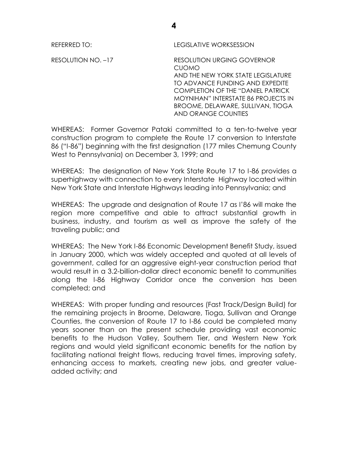REFERRED TO: LEGISLATIVE WORKSESSION

RESOLUTION NO. –17 RESOLUTION URGING GOVERNOR CUOMO AND THE NEW YORK STATE LEGISLATURE TO ADVANCE FUNDING AND EXPEDITE COMPLETION OF THE "DANIEL PATRICK MOYNIHAN" INTERSTATE 86 PROJECTS IN BROOME, DELAWARE, SULLIVAN, TIOGA AND ORANGE COUNTIES

WHEREAS: Former Governor Pataki committed to a ten-to-twelve year construction program to complete the Route 17 conversion to Interstate 86 ("I-86") beginning with the first designation (177 miles Chemung County West to Pennsylvania) on December 3, 1999; and

WHEREAS: The designation of New York State Route 17 to I-86 provides a superhighway with connection to every Interstate Highway located within New York State and Interstate Highways leading into Pennsylvania; and

WHEREAS: The upgrade and designation of Route 17 as I'86 will make the region more competitive and able to attract substantial growth in business, industry, and tourism as well as improve the safety of the traveling public; and

WHEREAS: The New York I-86 Economic Development Benefit Study, issued in January 2000, which was widely accepted and quoted at all levels of government, called for an aggressive eight-year construction period that would result in a 3.2-billion-dollar direct economic benefit to communities along the I-86 Highway Corridor once the conversion has been completed; and

WHEREAS: With proper funding and resources (Fast Track/Design Build) for the remaining projects in Broome, Delaware, Tioga, Sullivan and Orange Counties, the conversion of Route 17 to I-86 could be completed many years sooner than on the present schedule providing vast economic benefits to the Hudson Valley, Southern Tier, and Western New York regions and would yield significant economic benefits for the nation by facilitating national freight flows, reducing travel times, improving safety, enhancing access to markets, creating new jobs, and greater valueadded activity; and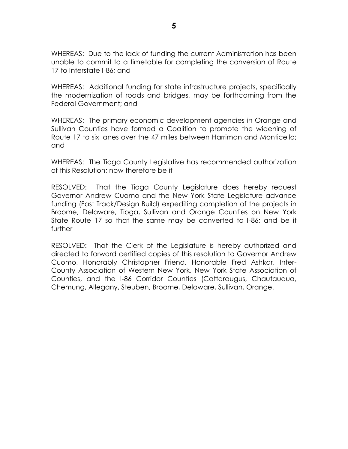WHEREAS: Due to the lack of funding the current Administration has been unable to commit to a timetable for completing the conversion of Route 17 to Interstate I-86; and

WHEREAS: Additional funding for state infrastructure projects, specifically the modernization of roads and bridges, may be forthcoming from the Federal Government; and

WHEREAS: The primary economic development agencies in Orange and Sullivan Counties have formed a Coalition to promote the widening of Route 17 to six lanes over the 47 miles between Harriman and Monticello; and

WHEREAS: The Tioga County Legislative has recommended authorization of this Resolution; now therefore be it

RESOLVED: That the Tioga County Legislature does hereby request Governor Andrew Cuomo and the New York State Legislature advance funding (Fast Track/Design Build) expediting completion of the projects in Broome, Delaware, Tioga, Sullivan and Orange Counties on New York State Route 17 so that the same may be converted to I-86; and be it further

RESOLVED: That the Clerk of the Legislature is hereby authorized and directed to forward certified copies of this resolution to Governor Andrew Cuomo, Honorably Christopher Friend, Honorable Fred Ashkar, Inter-County Association of Western New York, New York State Association of Counties, and the I-86 Corridor Counties (Cattaraugus, Chautauqua, Chemung, Allegany, Steuben, Broome, Delaware, Sullivan, Orange.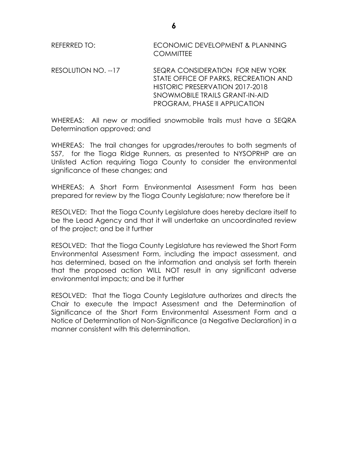REFERRED TO: ECONOMIC DEVELOPMENT & PLANNING **COMMITTEE** 

RESOLUTION NO. --17 SEQRA CONSIDERATION FOR NEW YORK STATE OFFICE OF PARKS, RECREATION AND HISTORIC PRESERVATION 2017-2018 SNOWMOBILE TRAILS GRANT-IN-AID PROGRAM, PHASE II APPLICATION

WHEREAS: All new or modified snowmobile trails must have a SEQRA Determination approved; and

WHEREAS: The trail changes for upgrades/reroutes to both segments of S57, for the Tioga Ridge Runners, as presented to NYSOPRHP are an Unlisted Action requiring Tioga County to consider the environmental significance of these changes; and

WHEREAS: A Short Form Environmental Assessment Form has been prepared for review by the Tioga County Legislature; now therefore be it

RESOLVED: That the Tioga County Legislature does hereby declare itself to be the Lead Agency and that it will undertake an uncoordinated review of the project; and be it further

RESOLVED: That the Tioga County Legislature has reviewed the Short Form Environmental Assessment Form, including the impact assessment, and has determined, based on the information and analysis set forth therein that the proposed action WILL NOT result in any significant adverse environmental impacts; and be it further

RESOLVED: That the Tioga County Legislature authorizes and directs the Chair to execute the Impact Assessment and the Determination of Significance of the Short Form Environmental Assessment Form and a Notice of Determination of Non-Significance (a Negative Declaration) in a manner consistent with this determination.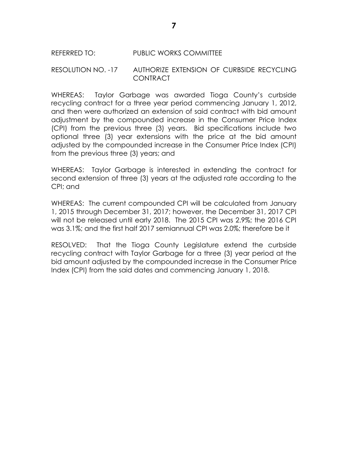#### REFERRED TO: PUBLIC WORKS COMMITTEE

#### RESOLUTION NO. -17 AUTHORIZE EXTENSION OF CURBSIDE RECYCLING **CONTRACT**

WHEREAS: Taylor Garbage was awarded Tioga County's curbside recycling contract for a three year period commencing January 1, 2012, and then were authorized an extension of said contract with bid amount adjustment by the compounded increase in the Consumer Price Index (CPI) from the previous three (3) years. Bid specifications include two optional three (3) year extensions with the price at the bid amount adjusted by the compounded increase in the Consumer Price Index (CPI) from the previous three (3) years; and

WHEREAS: Taylor Garbage is interested in extending the contract for second extension of three (3) years at the adjusted rate according to the CPI; and

WHEREAS: The current compounded CPI will be calculated from January 1, 2015 through December 31, 2017; however, the December 31, 2017 CPI will not be released until early 2018. The 2015 CPI was 2.9%; the 2016 CPI was 3.1%; and the first half 2017 semiannual CPI was 2.0%; therefore be it

RESOLVED: That the Tioga County Legislature extend the curbside recycling contract with Taylor Garbage for a three (3) year period at the bid amount adjusted by the compounded increase in the Consumer Price Index (CPI) from the said dates and commencing January 1, 2018.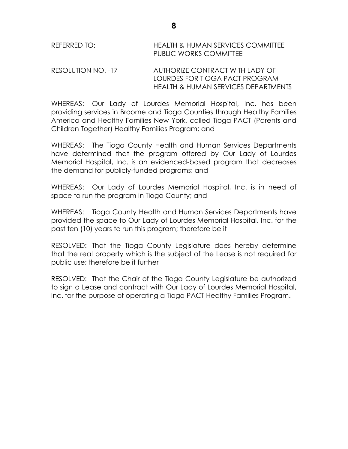| REFERRED TO: | <b>HEALTH &amp; HUMAN SERVICES COMMITTEE</b> |
|--------------|----------------------------------------------|
|              | PUBLIC WORKS COMMITTEE                       |

RESOLUTION NO. -17 AUTHORIZE CONTRACT WITH LADY OF LOURDES FOR TIOGA PACT PROGRAM HEALTH & HUMAN SERVICES DEPARTMENTS

WHEREAS: Our Lady of Lourdes Memorial Hospital, Inc. has been providing services in Broome and Tioga Counties through Healthy Families America and Healthy Families New York, called Tioga PACT (Parents and Children Together) Healthy Families Program; and

WHEREAS: The Tioga County Health and Human Services Departments have determined that the program offered by Our Lady of Lourdes Memorial Hospital, Inc. is an evidenced-based program that decreases the demand for publicly-funded programs; and

WHEREAS: Our Lady of Lourdes Memorial Hospital, Inc. is in need of space to run the program in Tioga County; and

WHEREAS: Tioga County Health and Human Services Departments have provided the space to Our Lady of Lourdes Memorial Hospital, Inc. for the past ten (10) years to run this program; therefore be it

RESOLVED: That the Tioga County Legislature does hereby determine that the real property which is the subject of the Lease is not required for public use; therefore be it further

RESOLVED: That the Chair of the Tioga County Legislature be authorized to sign a Lease and contract with Our Lady of Lourdes Memorial Hospital, Inc. for the purpose of operating a Tioga PACT Healthy Families Program.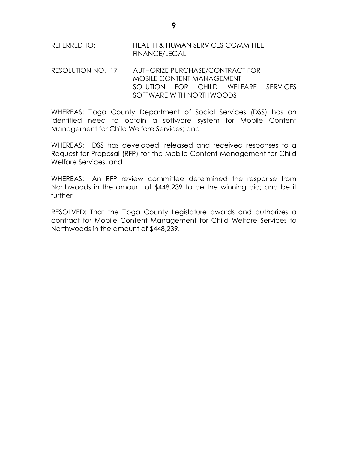# REFERRED TO: HEALTH & HUMAN SERVICES COMMITTEE FINANCE/LEGAL

#### RESOLUTION NO. -17 AUTHORIZE PURCHASE/CONTRACT FOR MOBILE CONTENT MANAGEMENT SOLUTION FOR CHILD WELFARE SERVICES SOFTWARE WITH NORTHWOODS

WHEREAS: Tioga County Department of Social Services (DSS) has an identified need to obtain a software system for Mobile Content Management for Child Welfare Services; and

WHEREAS: DSS has developed, released and received responses to a Request for Proposal (RFP) for the Mobile Content Management for Child Welfare Services; and

WHEREAS: An RFP review committee determined the response from Northwoods in the amount of \$448,239 to be the winning bid; and be it further

RESOLVED: That the Tioga County Legislature awards and authorizes a contract for Mobile Content Management for Child Welfare Services to Northwoods in the amount of \$448,239.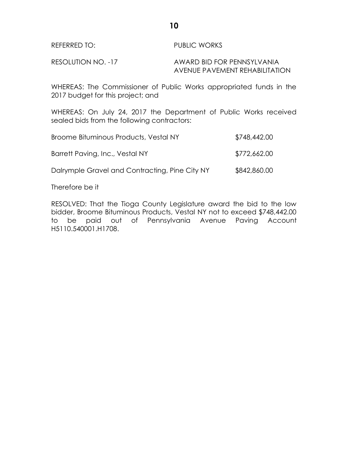| REFERRED TO: | <b>PUBLIC WORKS</b> |
|--------------|---------------------|
|              |                     |

RESOLUTION NO. -17 AWARD BID FOR PENNSYLVANIA AVENUE PAVEMENT REHABILITATION

WHEREAS: The Commissioner of Public Works appropriated funds in the 2017 budget for this project; and

WHEREAS: On July 24, 2017 the Department of Public Works received sealed bids from the following contractors:

| Broome Bituminous Products, Vestal NY          | \$748,442.00 |
|------------------------------------------------|--------------|
| Barrett Paving, Inc., Vestal NY                | \$772,662.00 |
| Dalrymple Gravel and Contracting, Pine City NY | \$842,860.00 |

Therefore be it

RESOLVED: That the Tioga County Legislature award the bid to the low bidder, Broome Bituminous Products, Vestal NY not to exceed \$748,442.00 to be paid out of Pennsylvania Avenue Paving Account H5110.540001.H1708.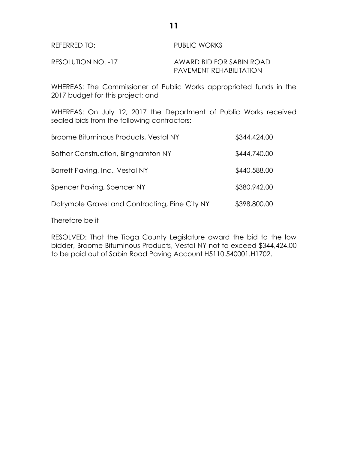| REFERRED TO:       | PUBLIC WORKS                   |  |
|--------------------|--------------------------------|--|
| RESOLUTION NO. -17 | AWARD BID FOR SABIN ROAD       |  |
|                    | <b>PAVEMENT REHABILITATION</b> |  |

WHEREAS: The Commissioner of Public Works appropriated funds in the 2017 budget for this project; and

WHEREAS: On July 12, 2017 the Department of Public Works received sealed bids from the following contractors:

| Broome Bituminous Products, Vestal NY          | \$344,424.00 |
|------------------------------------------------|--------------|
| Bothar Construction, Binghamton NY             | \$444,740.00 |
| Barrett Paving, Inc., Vestal NY                | \$440,588.00 |
| Spencer Paving, Spencer NY                     | \$380,942.00 |
| Dalrymple Gravel and Contracting, Pine City NY | \$398,800.00 |

Therefore be it

RESOLVED: That the Tioga County Legislature award the bid to the low bidder, Broome Bituminous Products, Vestal NY not to exceed \$344,424.00 to be paid out of Sabin Road Paving Account H5110.540001.H1702.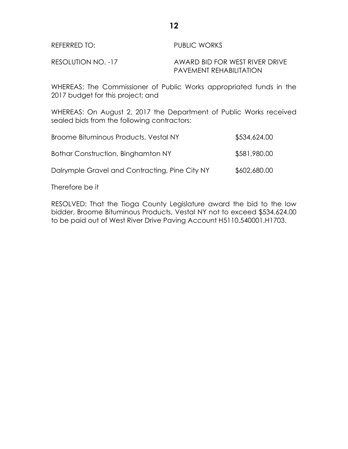| REFERRED TO: | <b>PUBLIC WORKS</b> |
|--------------|---------------------|
|              |                     |

RESOLUTION NO. -17 AWARD BID FOR WEST RIVER DRIVE PAVEMENT REHABILITATION

WHEREAS: The Commissioner of Public Works appropriated funds in the 2017 budget for this project; and

WHEREAS: On August 2, 2017 the Department of Public Works received sealed bids from the following contractors:

| Broome Bituminous Products, Vestal NY          | \$534,624.00 |
|------------------------------------------------|--------------|
| Bothar Construction, Binghamton NY             | \$581,980.00 |
| Dalrymple Gravel and Contracting, Pine City NY | \$602,680.00 |

Therefore be it

RESOLVED: That the Tioga County Legislature award the bid to the low bidder, Broome Bituminous Products, Vestal NY not to exceed \$534,624.00 to be paid out of West River Drive Paving Account H5110.540001.H1703.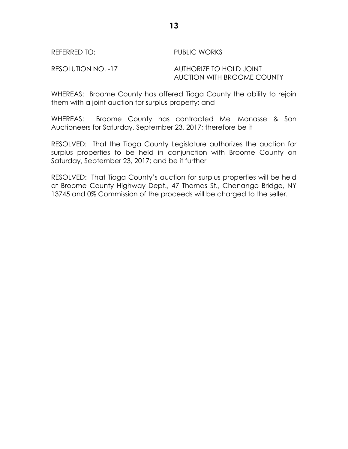REFERRED TO: PUBLIC WORKS

RESOLUTION NO. -17 AUTHORIZE TO HOLD JOINT AUCTION WITH BROOME COUNTY

WHEREAS: Broome County has offered Tioga County the ability to rejoin them with a joint auction for surplus property; and

WHEREAS: Broome County has contracted Mel Manasse & Son Auctioneers for Saturday, September 23, 2017; therefore be it

RESOLVED: That the Tioga County Legislature authorizes the auction for surplus properties to be held in conjunction with Broome County on Saturday, September 23, 2017; and be it further

RESOLVED: That Tioga County's auction for surplus properties will be held at Broome County Highway Dept., 47 Thomas St., Chenango Bridge, NY 13745 and 0% Commission of the proceeds will be charged to the seller.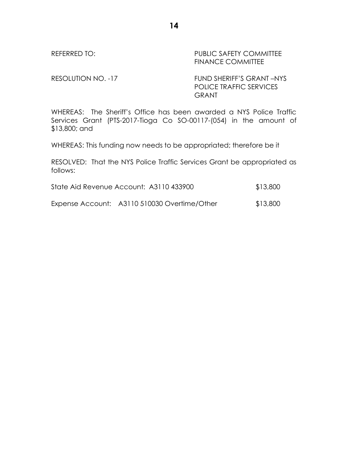## REFERRED TO: PUBLIC SAFETY COMMITTEE FINANCE COMMITTEE

RESOLUTION NO. -17 FUND SHERIFF'S GRANT –NYS POLICE TRAFFIC SERVICES **GRANT** 

WHEREAS: The Sheriff's Office has been awarded a NYS Police Traffic Services Grant (PTS-2017-Tioga Co SO-00117-(054) in the amount of \$13,800; and

WHEREAS: This funding now needs to be appropriated; therefore be it

RESOLVED: That the NYS Police Traffic Services Grant be appropriated as follows:

| State Aid Revenue Account: A3110 433900 | \$13,800 |
|-----------------------------------------|----------|
|-----------------------------------------|----------|

Expense Account: A3110 510030 Overtime/Other \$13,800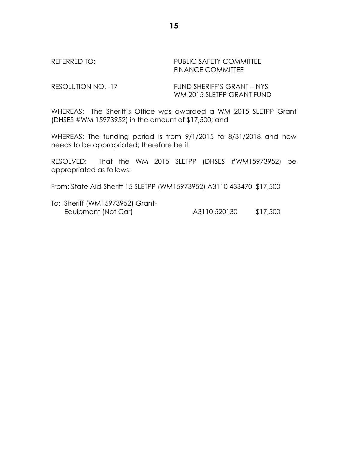REFERRED TO: PUBLIC SAFETY COMMITTEE FINANCE COMMITTEE

RESOLUTION NO. -17 FUND SHERIFF'S GRANT – NYS WM 2015 SLETPP GRANT FUND

WHEREAS: The Sheriff's Office was awarded a WM 2015 SLETPP Grant (DHSES #WM 15973952) in the amount of \$17,500; and

WHEREAS: The funding period is from 9/1/2015 to 8/31/2018 and now needs to be appropriated; therefore be it

RESOLVED: That the WM 2015 SLETPP (DHSES #WM15973952) be appropriated as follows:

From: State Aid-Sheriff 15 SLETPP (WM15973952) A3110 433470 \$17,500

To: Sheriff (WM15973952) Grant- Equipment (Not Car) A3110 520130 \$17,500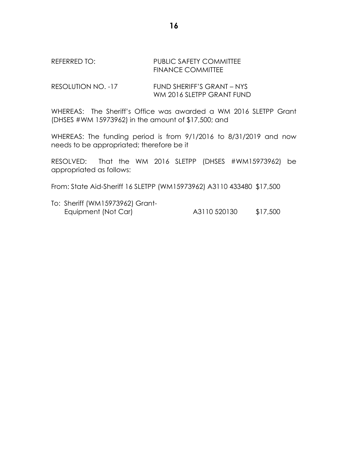#### REFERRED TO: PUBLIC SAFETY COMMITTEE FINANCE COMMITTEE

#### RESOLUTION NO. -17 FUND SHERIFF'S GRANT – NYS WM 2016 SLETPP GRANT FUND

WHEREAS: The Sheriff's Office was awarded a WM 2016 SLETPP Grant (DHSES #WM 15973962) in the amount of \$17,500; and

WHEREAS: The funding period is from 9/1/2016 to 8/31/2019 and now needs to be appropriated; therefore be it

RESOLVED: That the WM 2016 SLETPP (DHSES #WM15973962) be appropriated as follows:

From: State Aid-Sheriff 16 SLETPP (WM15973962) A3110 433480 \$17,500

To: Sheriff (WM15973962) Grant- Equipment (Not Car) A3110 520130 \$17,500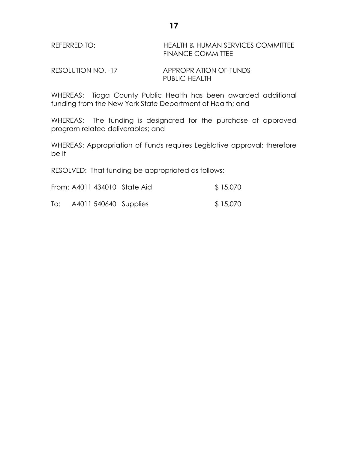| REFERRED TO: | <b>HEALTH &amp; HUMAN SERVICES COMMITTEE</b> |
|--------------|----------------------------------------------|
|              | <b>FINANCE COMMITTEE</b>                     |

RESOLUTION NO. -17 APPROPRIATION OF FUNDS PUBLIC HEALTH

WHEREAS: Tioga County Public Health has been awarded additional funding from the New York State Department of Health; and

WHEREAS: The funding is designated for the purchase of approved program related deliverables; and

WHEREAS: Appropriation of Funds requires Legislative approval; therefore be it

RESOLVED: That funding be appropriated as follows:

| From: A4011 434010 State Aid |  | \$15,070 |
|------------------------------|--|----------|
|------------------------------|--|----------|

To: A4011 540640 Supplies \$ 15,070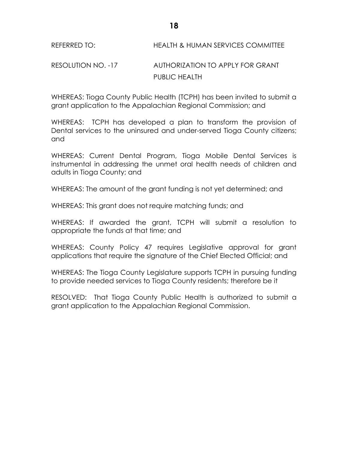## REFERRED TO: HEALTH & HUMAN SERVICES COMMITTEE

# RESOLUTION NO. -17 AUTHORIZATION TO APPLY FOR GRANT PUBLIC HEALTH

WHEREAS: Tioga County Public Health (TCPH) has been invited to submit a grant application to the Appalachian Regional Commission; and

WHEREAS: TCPH has developed a plan to transform the provision of Dental services to the uninsured and under-served Tioga County citizens; and

WHEREAS: Current Dental Program, Tioga Mobile Dental Services is instrumental in addressing the unmet oral health needs of children and adults in Tioga County; and

WHEREAS: The amount of the grant funding is not yet determined; and

WHEREAS: This grant does not require matching funds; and

WHEREAS: If awarded the grant, TCPH will submit a resolution to appropriate the funds at that time; and

WHEREAS: County Policy 47 requires Legislative approval for grant applications that require the signature of the Chief Elected Official; and

WHEREAS: The Tioga County Legislature supports TCPH in pursuing funding to provide needed services to Tioga County residents; therefore be it

RESOLVED: That Tioga County Public Health is authorized to submit a grant application to the Appalachian Regional Commission.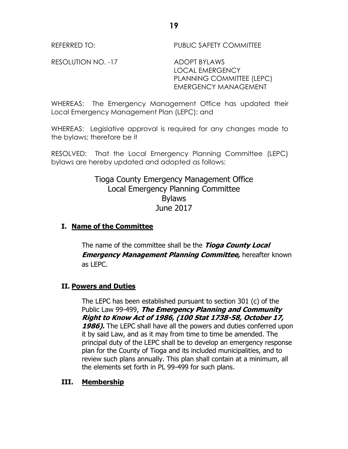REFERRED TO: PUBLIC SAFETY COMMITTEE

RESOLUTION NO. -17 ADOPT BYLAWS

LOCAL EMERGENCY PLANNING COMMITTEE (LEPC) EMERGENCY MANAGEMENT

WHEREAS: The Emergency Management Office has updated their Local Emergency Management Plan (LEPC); and

WHEREAS: Legislative approval is required for any changes made to the bylaws; therefore be it

RESOLVED: That the Local Emergency Planning Committee (LEPC) bylaws are hereby updated and adopted as follows:

# Tioga County Emergency Management Office Local Emergency Planning Committee Bylaws June 2017

## **I. Name of the Committee**

The name of the committee shall be the **Tioga County Local Emergency Management Planning Committee, hereafter known** as LEPC.

## **II. Powers and Duties**

The LEPC has been established pursuant to section 301 (c) of the Public Law 99-499, **The Emergency Planning and Community Right to Know Act of 1986, (100 Stat 1738-58, October 17, 1986).** The LEPC shall have all the powers and duties conferred upon it by said Law, and as it may from time to time be amended. The principal duty of the LEPC shall be to develop an emergency response plan for the County of Tioga and its included municipalities, and to review such plans annually. This plan shall contain at a minimum, all the elements set forth in PL 99-499 for such plans.

## **III. Membership**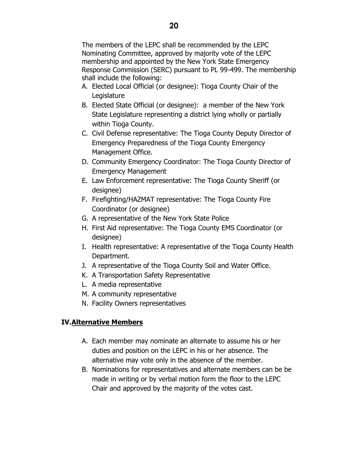The members of the LEPC shall be recommended by the LEPC Nominating Committee, approved by majority vote of the LEPC membership and appointed by the New York State Emergency Response Commission (SERC) pursuant to PL 99-499. The membership shall include the following:

- A. Elected Local Official (or designee): Tioga County Chair of the Legislature
- B. Elected State Official (or designee): a member of the New York State Legislature representing a district lying wholly or partially within Tioga County.
- C. Civil Defense representative: The Tioga County Deputy Director of Emergency Preparedness of the Tioga County Emergency Management Office.
- D. Community Emergency Coordinator: The Tioga County Director of Emergency Management
- E. Law Enforcement representative: The Tioga County Sheriff (or designee)
- F. Firefighting/HAZMAT representative: The Tioga County Fire Coordinator (or designee)
- G. A representative of the New York State Police
- H. First Aid representative: The Tioga County EMS Coordinator (or designee)
- I. Health representative: A representative of the Tioga County Health Department.
- J. A representative of the Tioga County Soil and Water Office.
- K. A Transportation Safety Representative
- L. A media representative
- M. A community representative
- N. Facility Owners representatives

# **IV.Alternative Members**

- A. Each member may nominate an alternate to assume his or her duties and position on the LEPC in his or her absence. The alternative may vote only in the absence of the member.
- B. Nominations for representatives and alternate members can be be made in writing or by verbal motion form the floor to the LEPC Chair and approved by the majority of the votes cast.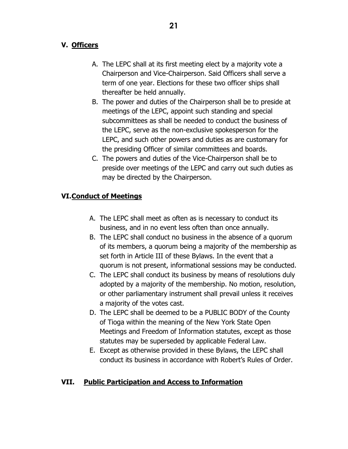# **V. Officers**

- A. The LEPC shall at its first meeting elect by a majority vote a Chairperson and Vice-Chairperson. Said Officers shall serve a term of one year. Elections for these two officer ships shall thereafter be held annually.
- B. The power and duties of the Chairperson shall be to preside at meetings of the LEPC, appoint such standing and special subcommittees as shall be needed to conduct the business of the LEPC, serve as the non-exclusive spokesperson for the LEPC, and such other powers and duties as are customary for the presiding Officer of similar committees and boards.
- C. The powers and duties of the Vice-Chairperson shall be to preside over meetings of the LEPC and carry out such duties as may be directed by the Chairperson.

# **VI.Conduct of Meetings**

- A. The LEPC shall meet as often as is necessary to conduct its business, and in no event less often than once annually.
- B. The LEPC shall conduct no business in the absence of a quorum of its members, a quorum being a majority of the membership as set forth in Article III of these Bylaws. In the event that a quorum is not present, informational sessions may be conducted.
- C. The LEPC shall conduct its business by means of resolutions duly adopted by a majority of the membership. No motion, resolution, or other parliamentary instrument shall prevail unless it receives a majority of the votes cast.
- D. The LEPC shall be deemed to be a PUBLIC BODY of the County of Tioga within the meaning of the New York State Open Meetings and Freedom of Information statutes, except as those statutes may be superseded by applicable Federal Law.
- E. Except as otherwise provided in these Bylaws, the LEPC shall conduct its business in accordance with Robert's Rules of Order.

# **VII. Public Participation and Access to Information**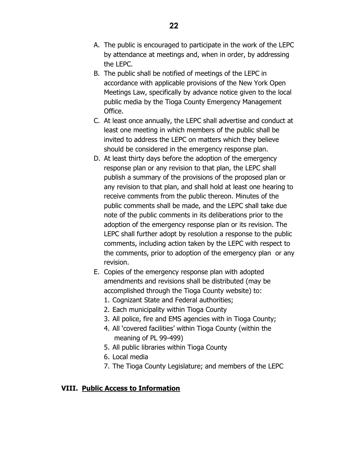- B. The public shall be notified of meetings of the LEPC in accordance with applicable provisions of the New York Open Meetings Law, specifically by advance notice given to the local public media by the Tioga County Emergency Management Office.
- C. At least once annually, the LEPC shall advertise and conduct at least one meeting in which members of the public shall be invited to address the LEPC on matters which they believe should be considered in the emergency response plan.
- D. At least thirty days before the adoption of the emergency response plan or any revision to that plan, the LEPC shall publish a summary of the provisions of the proposed plan or any revision to that plan, and shall hold at least one hearing to receive comments from the public thereon. Minutes of the public comments shall be made, and the LEPC shall take due note of the public comments in its deliberations prior to the adoption of the emergency response plan or its revision. The LEPC shall further adopt by resolution a response to the public comments, including action taken by the LEPC with respect to the comments, prior to adoption of the emergency plan or any revision.
- E. Copies of the emergency response plan with adopted amendments and revisions shall be distributed (may be accomplished through the Tioga County website) to:
	- 1. Cognizant State and Federal authorities;
	- 2. Each municipality within Tioga County
	- 3. All police, fire and EMS agencies with in Tioga County;
	- 4. All 'covered facilities' within Tioga County (within the meaning of PL 99-499)
	- 5. All public libraries within Tioga County
	- 6. Local media
	- 7. The Tioga County Legislature; and members of the LEPC

# **VIII. Public Access to Information**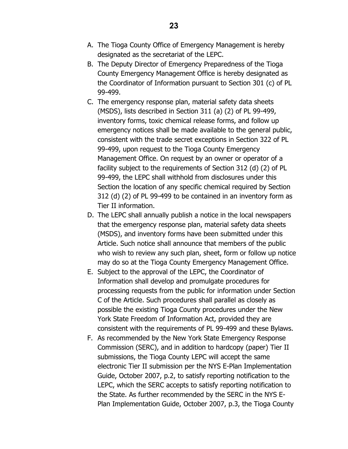- A. The Tioga County Office of Emergency Management is hereby designated as the secretariat of the LEPC.
- B. The Deputy Director of Emergency Preparedness of the Tioga County Emergency Management Office is hereby designated as the Coordinator of Information pursuant to Section 301 (c) of PL 99-499.
- C. The emergency response plan, material safety data sheets (MSDS), lists described in Section 311 (a) (2) of PL 99-499, inventory forms, toxic chemical release forms, and follow up emergency notices shall be made available to the general public, consistent with the trade secret exceptions in Section 322 of PL 99-499, upon request to the Tioga County Emergency Management Office. On request by an owner or operator of a facility subject to the requirements of Section 312 (d) (2) of PL 99-499, the LEPC shall withhold from disclosures under this Section the location of any specific chemical required by Section 312 (d) (2) of PL 99-499 to be contained in an inventory form as Tier II information.
- D. The LEPC shall annually publish a notice in the local newspapers that the emergency response plan, material safety data sheets (MSDS), and inventory forms have been submitted under this Article. Such notice shall announce that members of the public who wish to review any such plan, sheet, form or follow up notice may do so at the Tioga County Emergency Management Office.
- E. Subject to the approval of the LEPC, the Coordinator of Information shall develop and promulgate procedures for processing requests from the public for information under Section C of the Article. Such procedures shall parallel as closely as possible the existing Tioga County procedures under the New York State Freedom of Information Act, provided they are consistent with the requirements of PL 99-499 and these Bylaws.
- F. As recommended by the New York State Emergency Response Commission (SERC), and in addition to hardcopy (paper) Tier II submissions, the Tioga County LEPC will accept the same electronic Tier II submission per the NYS E-Plan Implementation Guide, October 2007, p.2, to satisfy reporting notification to the LEPC, which the SERC accepts to satisfy reporting notification to the State. As further recommended by the SERC in the NYS E-Plan Implementation Guide, October 2007, p.3, the Tioga County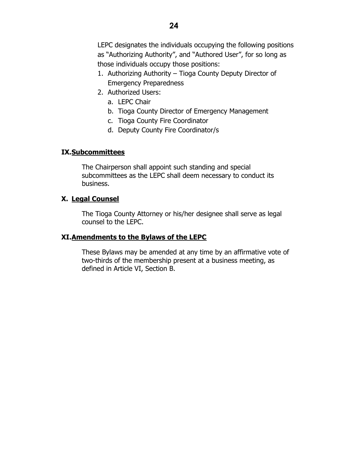LEPC designates the individuals occupying the following positions as "Authorizing Authority", and "Authored User", for so long as those individuals occupy those positions:

- 1. Authorizing Authority Tioga County Deputy Director of Emergency Preparedness
- 2. Authorized Users:
	- a. LEPC Chair
	- b. Tioga County Director of Emergency Management
	- c. Tioga County Fire Coordinator
	- d. Deputy County Fire Coordinator/s

## **IX.Subcommittees**

The Chairperson shall appoint such standing and special subcommittees as the LEPC shall deem necessary to conduct its business.

## **X. Legal Counsel**

The Tioga County Attorney or his/her designee shall serve as legal counsel to the LEPC.

## **XI.Amendments to the Bylaws of the LEPC**

These Bylaws may be amended at any time by an affirmative vote of two-thirds of the membership present at a business meeting, as defined in Article VI, Section B.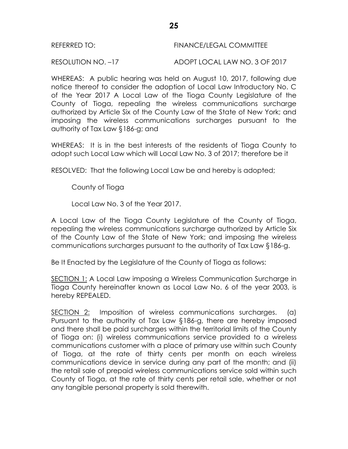| REFERRED TO: | <b>FINANCE/LEGAL COMMITTEE</b> |
|--------------|--------------------------------|
|              |                                |

RESOLUTION NO. –17 ADOPT LOCAL LAW NO. 3 OF 2017

WHEREAS: A public hearing was held on August 10, 2017, following due notice thereof to consider the adoption of Local Law Introductory No. C of the Year 2017 A Local Law of the Tioga County Legislature of the County of Tioga, repealing the wireless communications surcharge authorized by Article Six of the County Law of the State of New York; and imposing the wireless communications surcharges pursuant to the authority of Tax Law §186-g; and

WHEREAS: It is in the best interests of the residents of Tioga County to adopt such Local Law which will Local Law No. 3 of 2017; therefore be it

RESOLVED: That the following Local Law be and hereby is adopted;

County of Tioga

Local Law No. 3 of the Year 2017.

A Local Law of the Tioga County Legislature of the County of Tioga, repealing the wireless communications surcharge authorized by Article Six of the County Law of the State of New York; and imposing the wireless communications surcharges pursuant to the authority of Tax Law §186-g.

Be It Enacted by the Legislature of the County of Tioga as follows:

SECTION 1: A Local Law imposing a Wireless Communication Surcharge in Tioga County hereinafter known as Local Law No. 6 of the year 2003, is hereby REPEALED.

SECTION 2: Imposition of wireless communications surcharges. (a) Pursuant to the authority of Tax Law §186-g, there are hereby imposed and there shall be paid surcharges within the territorial limits of the County of Tioga on: (i) wireless communications service provided to a wireless communications customer with a place of primary use within such County of Tioga, at the rate of thirty cents per month on each wireless communications device in service during any part of the month; and (ii) the retail sale of prepaid wireless communications service sold within such County of Tioga, at the rate of thirty cents per retail sale, whether or not any tangible personal property is sold therewith.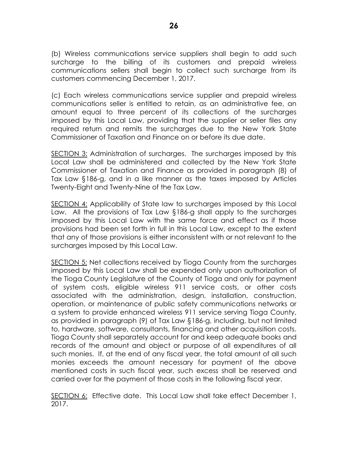(b) Wireless communications service suppliers shall begin to add such surcharge to the billing of its customers and prepaid wireless communications sellers shall begin to collect such surcharge from its customers commencing December 1, 2017.

(c) Each wireless communications service supplier and prepaid wireless communications seller is entitled to retain, as an administrative fee, an amount equal to three percent of its collections of the surcharges imposed by this Local Law, providing that the supplier or seller files any required return and remits the surcharges due to the New York State Commissioner of Taxation and Finance on or before its due date.

SECTION 3: Administration of surcharges. The surcharges imposed by this Local Law shall be administered and collected by the New York State Commissioner of Taxation and Finance as provided in paragraph (8) of Tax Law §186-g, and in a like manner as the taxes imposed by Articles Twenty-Eight and Twenty-Nine of the Tax Law.

SECTION 4: Applicability of State law to surcharges imposed by this Local Law. All the provisions of Tax Law §186-g shall apply to the surcharges imposed by this Local Law with the same force and effect as if those provisions had been set forth in full in this Local Law, except to the extent that any of those provisions is either inconsistent with or not relevant to the surcharges imposed by this Local Law.

SECTION 5: Net collections received by Tioga County from the surcharges imposed by this Local Law shall be expended only upon authorization of the Tioga County Legislature of the County of Tioga and only for payment of system costs, eligible wireless 911 service costs, or other costs associated with the administration, design, installation, construction, operation, or maintenance of public safety communications networks or a system to provide enhanced wireless 911 service serving Tioga County, as provided in paragraph (9) of Tax Law §186-g, including, but not limited to, hardware, software, consultants, financing and other acquisition costs. Tioga County shall separately account for and keep adequate books and records of the amount and object or purpose of all expenditures of all such monies. If, at the end of any fiscal year, the total amount of all such monies exceeds the amount necessary for payment of the above mentioned costs in such fiscal year, such excess shall be reserved and carried over for the payment of those costs in the following fiscal year.

SECTION 6: Effective date. This Local Law shall take effect December 1, 2017.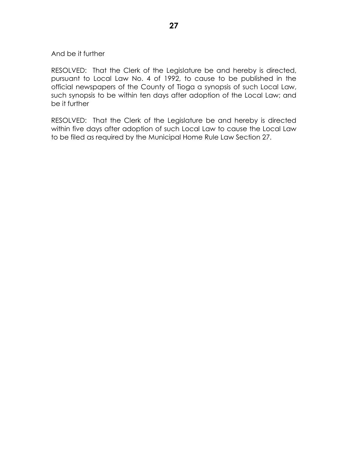#### And be it further

RESOLVED: That the Clerk of the Legislature be and hereby is directed, pursuant to Local Law No. 4 of 1992, to cause to be published in the official newspapers of the County of Tioga a synopsis of such Local Law, such synopsis to be within ten days after adoption of the Local Law; and be it further

RESOLVED: That the Clerk of the Legislature be and hereby is directed within five days after adoption of such Local Law to cause the Local Law to be filed as required by the Municipal Home Rule Law Section 27.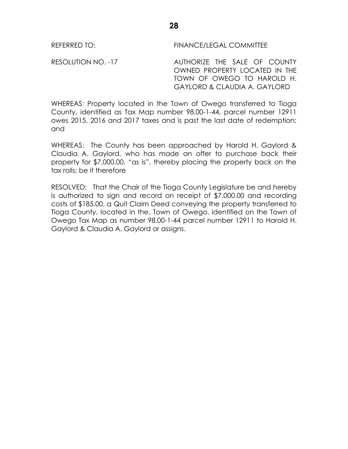RESOLUTION NO. -17 AUTHORIZE THE SALE OF COUNTY OWNED PROPERTY LOCATED IN THE TOWN OF OWEGO TO HAROLD H. GAYLORD & CLAUDIA A. GAYLORD

WHEREAS: Property located in the Town of Owego transferred to Tioga County, identified as Tax Map number 98.00-1-44, parcel number 12911 owes 2015, 2016 and 2017 taxes and is past the last date of redemption; and

WHEREAS: The County has been approached by Harold H. Gaylord & Claudia A. Gaylord, who has made an offer to purchase back their property for \$7,000.00, "as is", thereby placing the property back on the tax rolls; be it therefore

RESOLVED: That the Chair of the Tioga County Legislature be and hereby is authorized to sign and record on receipt of \$7,000.00 and recording costs of \$185.00, a Quit Claim Deed conveying the property transferred to Tioga County, located in the, Town of Owego, identified on the Town of Owego Tax Map as number 98.00-1-44 parcel number 12911 to Harold H. Gaylord & Claudia A. Gaylord or assigns.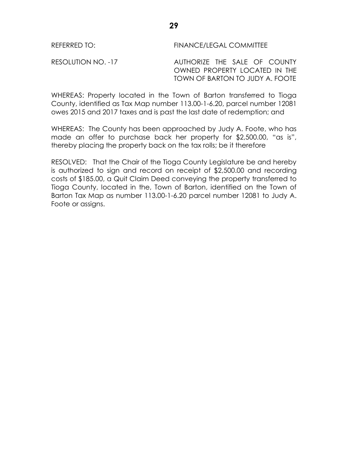RESOLUTION NO. -17 AUTHORIZE THE SALE OF COUNTY OWNED PROPERTY LOCATED IN THE TOWN OF BARTON TO JUDY A. FOOTE

WHEREAS: Property located in the Town of Barton transferred to Tioga County, identified as Tax Map number 113.00-1-6.20, parcel number 12081 owes 2015 and 2017 taxes and is past the last date of redemption; and

WHEREAS: The County has been approached by Judy A. Foote, who has made an offer to purchase back her property for \$2,500.00, "as is", thereby placing the property back on the tax rolls; be it therefore

RESOLVED: That the Chair of the Tioga County Legislature be and hereby is authorized to sign and record on receipt of \$2,500.00 and recording costs of \$185.00, a Quit Claim Deed conveying the property transferred to Tioga County, located in the, Town of Barton, identified on the Town of Barton Tax Map as number 113.00-1-6.20 parcel number 12081 to Judy A. Foote or assigns.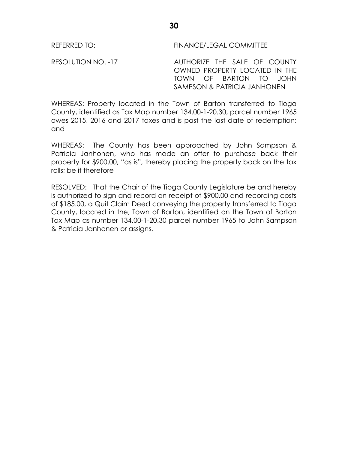RESOLUTION NO. -17 AUTHORIZE THE SALE OF COUNTY OWNED PROPERTY LOCATED IN THE TOWN OF BARTON TO JOHN SAMPSON & PATRICIA JANHONEN

WHEREAS: Property located in the Town of Barton transferred to Tioga County, identified as Tax Map number 134.00-1-20.30, parcel number 1965 owes 2015, 2016 and 2017 taxes and is past the last date of redemption; and

WHEREAS: The County has been approached by John Sampson & Patricia Janhonen, who has made an offer to purchase back their property for \$900.00, "as is", thereby placing the property back on the tax rolls; be it therefore

RESOLVED: That the Chair of the Tioga County Legislature be and hereby is authorized to sign and record on receipt of \$900.00 and recording costs of \$185.00, a Quit Claim Deed conveying the property transferred to Tioga County, located in the, Town of Barton, identified on the Town of Barton Tax Map as number 134.00-1-20.30 parcel number 1965 to John Sampson & Patricia Janhonen or assigns.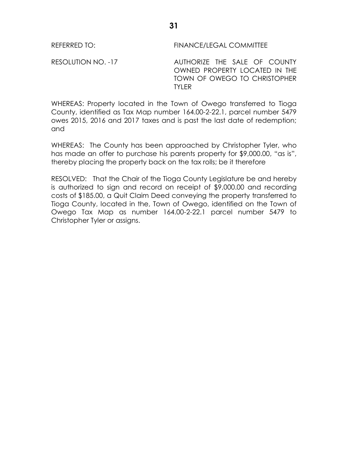RESOLUTION NO. -17 AUTHORIZE THE SALE OF COUNTY OWNED PROPERTY LOCATED IN THE TOWN OF OWEGO TO CHRISTOPHER TYLER

WHEREAS: Property located in the Town of Owego transferred to Tioga County, identified as Tax Map number 164.00-2-22.1, parcel number 5479 owes 2015, 2016 and 2017 taxes and is past the last date of redemption; and

WHEREAS: The County has been approached by Christopher Tyler, who has made an offer to purchase his parents property for \$9,000.00, "as is", thereby placing the property back on the tax rolls; be it therefore

RESOLVED: That the Chair of the Tioga County Legislature be and hereby is authorized to sign and record on receipt of \$9,000.00 and recording costs of \$185.00, a Quit Claim Deed conveying the property transferred to Tioga County, located in the, Town of Owego, identified on the Town of Owego Tax Map as number 164.00-2-22.1 parcel number 5479 to Christopher Tyler or assigns.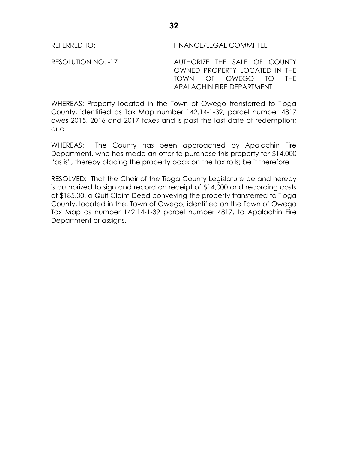RESOLUTION NO. -17 AUTHORIZE THE SALE OF COUNTY OWNED PROPERTY LOCATED IN THE TOWN OF OWEGO TO THE APALACHIN FIRE DEPARTMENT

WHEREAS: Property located in the Town of Owego transferred to Tioga County, identified as Tax Map number 142.14-1-39, parcel number 4817 owes 2015, 2016 and 2017 taxes and is past the last date of redemption; and

WHEREAS: The County has been approached by Apalachin Fire Department, who has made an offer to purchase this property for \$14,000 "as is", thereby placing the property back on the tax rolls; be it therefore

RESOLVED: That the Chair of the Tioga County Legislature be and hereby is authorized to sign and record on receipt of \$14,000 and recording costs of \$185.00, a Quit Claim Deed conveying the property transferred to Tioga County, located in the, Town of Owego, identified on the Town of Owego Tax Map as number 142.14-1-39 parcel number 4817, to Apalachin Fire Department or assigns.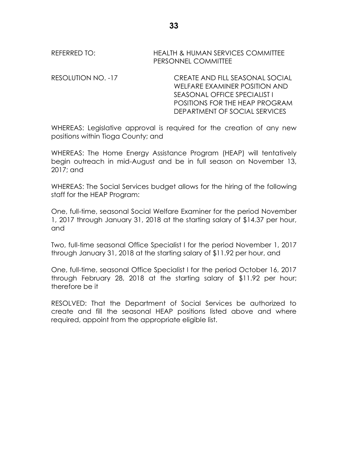REFERRED TO: HEALTH & HUMAN SERVICES COMMITTEE PERSONNEL COMMITTEE

RESOLUTION NO. -17 CREATE AND FILL SEASONAL SOCIAL WELFARE EXAMINER POSITION AND SEASONAL OFFICE SPECIALIST I POSITIONS FOR THE HEAP PROGRAM DEPARTMENT OF SOCIAL SERVICES

WHEREAS: Legislative approval is required for the creation of any new positions within Tioga County; and

WHEREAS: The Home Energy Assistance Program (HEAP) will tentatively begin outreach in mid-August and be in full season on November 13, 2017; and

WHEREAS: The Social Services budget allows for the hiring of the following staff for the HEAP Program:

One, full-time, seasonal Social Welfare Examiner for the period November 1, 2017 through January 31, 2018 at the starting salary of \$14.37 per hour, and

Two, full-time seasonal Office Specialist I for the period November 1, 2017 through January 31, 2018 at the starting salary of \$11.92 per hour, and

One, full-time, seasonal Office Specialist I for the period October 16, 2017 through February 28, 2018 at the starting salary of \$11.92 per hour; therefore be it

RESOLVED: That the Department of Social Services be authorized to create and fill the seasonal HEAP positions listed above and where required, appoint from the appropriate eligible list.